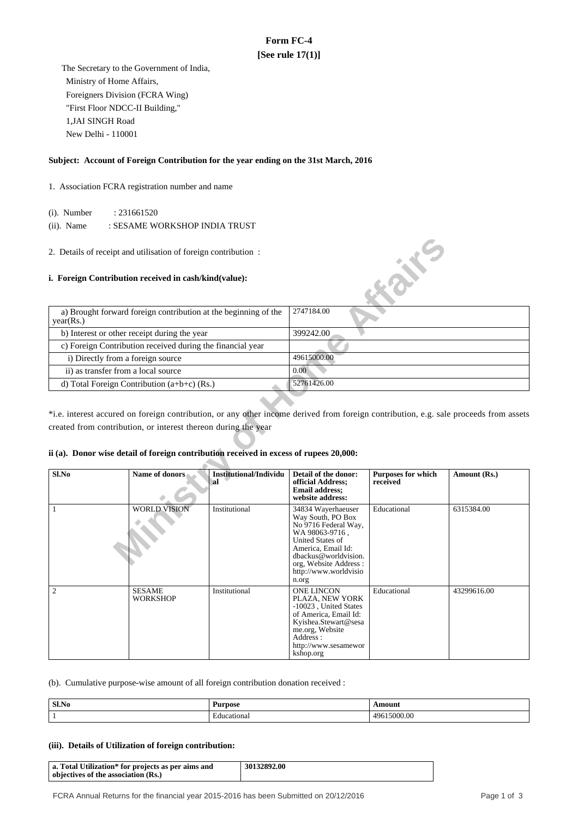# **Form FC-4 [See rule 17(1)]**

 The Secretary to the Government of India, Ministry of Home Affairs, Foreigners Division (FCRA Wing) "First Floor NDCC-II Building," 1,JAI SINGH Road New Delhi - 110001

## **Subject: Account of Foreign Contribution for the year ending on the 31st March, 2016**

## 1. Association FCRA registration number and name

(i). Number : 231661520

(ii). Name : SESAME WORKSHOP INDIA TRUST

### **i. Foreign Contribution received in cash/kind(value):**

| a) Brought forward foreign contribution at the beginning of the<br>year(Rs.) | 2747184.00  |
|------------------------------------------------------------------------------|-------------|
| b) Interest or other receipt during the year                                 | 399242.00   |
| c) Foreign Contribution received during the financial year                   |             |
| i) Directly from a foreign source                                            | 49615000.00 |
| ii) as transfer from a local source                                          | 0.00        |
| d) Total Foreign Contribution $(a+b+c)$ (Rs.)                                | 52761426.00 |

## **ii (a). Donor wise detail of foreign contribution received in excess of rupees 20,000:**

|                                                                                                                                                                                                                                                                                                                                                                                                                                                                                                                 | 2. Details of receipt and utilisation of foreign contribution:<br>i. Foreign Contribution received in cash/kind(value): |               | <b>Kaik</b> e                                                                                                                                                                                                         |             |             |
|-----------------------------------------------------------------------------------------------------------------------------------------------------------------------------------------------------------------------------------------------------------------------------------------------------------------------------------------------------------------------------------------------------------------------------------------------------------------------------------------------------------------|-------------------------------------------------------------------------------------------------------------------------|---------------|-----------------------------------------------------------------------------------------------------------------------------------------------------------------------------------------------------------------------|-------------|-------------|
| year(Rs.)                                                                                                                                                                                                                                                                                                                                                                                                                                                                                                       | a) Brought forward foreign contribution at the beginning of the                                                         |               | 2747184.00                                                                                                                                                                                                            |             |             |
|                                                                                                                                                                                                                                                                                                                                                                                                                                                                                                                 | b) Interest or other receipt during the year                                                                            |               | 399242.00                                                                                                                                                                                                             |             |             |
|                                                                                                                                                                                                                                                                                                                                                                                                                                                                                                                 | c) Foreign Contribution received during the financial year                                                              |               |                                                                                                                                                                                                                       |             |             |
|                                                                                                                                                                                                                                                                                                                                                                                                                                                                                                                 | i) Directly from a foreign source                                                                                       |               | 49615000.00                                                                                                                                                                                                           |             |             |
| ii) as transfer from a local source                                                                                                                                                                                                                                                                                                                                                                                                                                                                             |                                                                                                                         |               | 0.00                                                                                                                                                                                                                  |             |             |
|                                                                                                                                                                                                                                                                                                                                                                                                                                                                                                                 | d) Total Foreign Contribution (a+b+c) (Rs.)                                                                             |               | 52761426.00                                                                                                                                                                                                           |             |             |
| *i.e. interest accured on foreign contribution, or any other income derived from foreign contribution, e.g. sale proceeds from assets<br>created from contribution, or interest thereon during the year<br>ii (a). Donor wise detail of foreign contribution received in excess of rupees 20,000:<br>Sl.No<br>Name of donors<br>Institutional/Individu<br>Detail of the donor:<br><b>Purposes for which</b><br>Amount (Rs.)<br>official Address;<br>received<br>al<br><b>Email address:</b><br>website address: |                                                                                                                         |               |                                                                                                                                                                                                                       |             |             |
| 1                                                                                                                                                                                                                                                                                                                                                                                                                                                                                                               | <b>WORLD VISION</b>                                                                                                     | Institutional | 34834 Wayerhaeuser<br>Way South, PO Box<br>No 9716 Federal Way,<br>WA 98063-9716,<br><b>United States of</b><br>America, Email Id:<br>dbackus@worldvision.<br>org, Website Address:<br>http://www.worldvisio<br>n.org | Educational | 6315384.00  |
| 2                                                                                                                                                                                                                                                                                                                                                                                                                                                                                                               | <b>SESAME</b><br><b>WORKSHOP</b>                                                                                        | Institutional | <b>ONE LINCON</b><br>PLAZA, NEW YORK<br>-10023, United States<br>of America, Email Id:<br>Kyishea.Stewart@sesa<br>me.org, Website<br>Address :<br>http://www.sesamewor<br>kshop.org                                   | Educational | 43299616.00 |

(b). Cumulative purpose-wise amount of all foreign contribution donation received :

| Sl.No | <b>Purpose</b>  | \ m∩111            |
|-------|-----------------|--------------------|
|       | ducational<br>. | $\sim$<br>⊿Q⊬<br>w |

### **(iii). Details of Utilization of foreign contribution:**

| a. Total Utilization* for projects as per aims and<br>objectives of the association (Rs.) | 30132892.00 |
|-------------------------------------------------------------------------------------------|-------------|
|-------------------------------------------------------------------------------------------|-------------|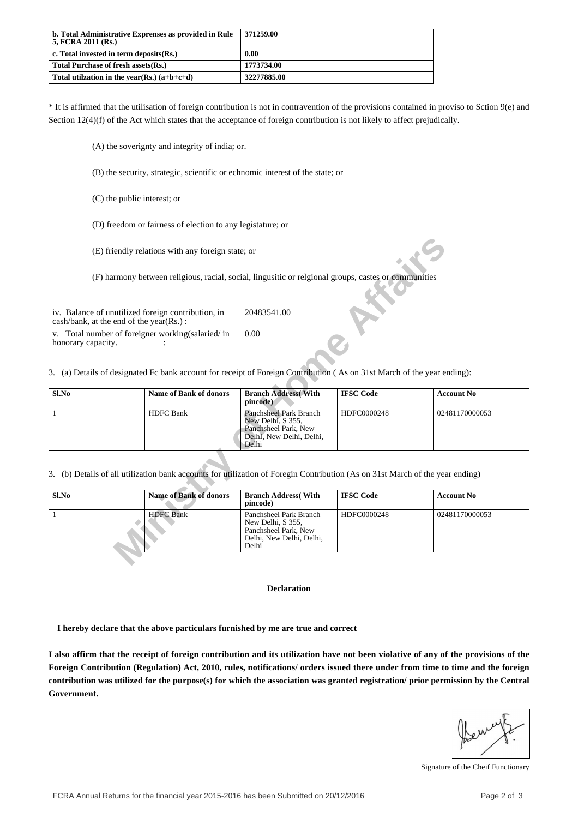| b. Total Administrative Exprenses as provided in Rule<br>  5. FCRA 2011 (Rs.) | 371259.00   |
|-------------------------------------------------------------------------------|-------------|
| $\vert$ c. Total invested in term deposits $(Rs.)$                            | 0.00        |
| Total Purchase of fresh assets(Rs.)                                           | 1773734.00  |
| Total utilization in the year(Rs.) $(a+b+c+d)$                                | 32277885.00 |

\* It is affirmed that the utilisation of foreign contribution is not in contravention of the provisions contained in proviso to Sction 9(e) and Section 12(4)(f) of the Act which states that the acceptance of foreign contribution is not likely to affect prejudically.

(A) the soverignty and integrity of india; or.

(B) the security, strategic, scientific or echnomic interest of the state; or

(C) the public interest; or

(D) freedom or fairness of election to any legistature; or

|                                                                                                                               | (E) friendly relations with any foreign state; or                                                     |                                                                                                                 |                  |                   |  |
|-------------------------------------------------------------------------------------------------------------------------------|-------------------------------------------------------------------------------------------------------|-----------------------------------------------------------------------------------------------------------------|------------------|-------------------|--|
|                                                                                                                               | (F) harmony between religious, racial, social, lingusitic or religional groups, castes or communities |                                                                                                                 |                  |                   |  |
| iv. Balance of unutilized foreign contribution, in<br>$\cosh/bank$ , at the end of the year(Rs.):                             |                                                                                                       | 20483541.00                                                                                                     |                  |                   |  |
| v. Total number of foreigner working(salaried/in<br>honorary capacity.                                                        |                                                                                                       | 0.00                                                                                                            |                  |                   |  |
| 3. (a) Details of designated Fc bank account for receipt of Foreign Contribution (As on 31st March of the year ending):       |                                                                                                       |                                                                                                                 |                  |                   |  |
| Sl.No                                                                                                                         | <b>Name of Bank of donors</b>                                                                         | <b>Branch Address</b> (With<br>pincode)                                                                         | <b>IFSC Code</b> | <b>Account No</b> |  |
| 1                                                                                                                             | <b>HDFC</b> Bank                                                                                      | <b>Panchsheel Park Branch</b><br>New Delhi, S 355,<br>Panchsheel Park, New<br>DelhI, New Delhi, Delhi,<br>Delhi | HDFC0000248      | 02481170000053    |  |
| 3. (b) Details of all utilization bank accounts for utilization of Foregin Contribution (As on 31st March of the year ending) |                                                                                                       |                                                                                                                 |                  |                   |  |
| Sl.No                                                                                                                         | <b>Name of Bank of donors</b>                                                                         | <b>Branch Address</b> (With<br>pincode)                                                                         | <b>IFSC Code</b> | <b>Account No</b> |  |
| -1                                                                                                                            | <b>HDFC</b> Bank                                                                                      | Panchsheel Park Branch<br>New Delhi, S 355,<br>Panchsheel Park, New<br>Delhi, New Delhi, Delhi,<br>Delhi        | HDFC0000248      | 02481170000053    |  |
|                                                                                                                               |                                                                                                       |                                                                                                                 |                  |                   |  |

| Sl.No | <b>Name of Bank of donors</b> | <b>Branch Address</b> (With<br>pincode)                                                                  | <b>IFSC Code</b> | <b>Account No</b> |
|-------|-------------------------------|----------------------------------------------------------------------------------------------------------|------------------|-------------------|
|       | <b>HDFC Bank</b>              | Panchsheel Park Branch<br>New Delhi, S 355,<br>Panchsheel Park, New<br>Delhi, New Delhi, Delhi,<br>Delhi | HDFC0000248      | 02481170000053    |

#### **Declaration**

 **I hereby declare that the above particulars furnished by me are true and correct**

**I also affirm that the receipt of foreign contribution and its utilization have not been violative of any of the provisions of the Foreign Contribution (Regulation) Act, 2010, rules, notifications/ orders issued there under from time to time and the foreign contribution was utilized for the purpose(s) for which the association was granted registration/ prior permission by the Central Government.**

Signature of the Cheif Functionary